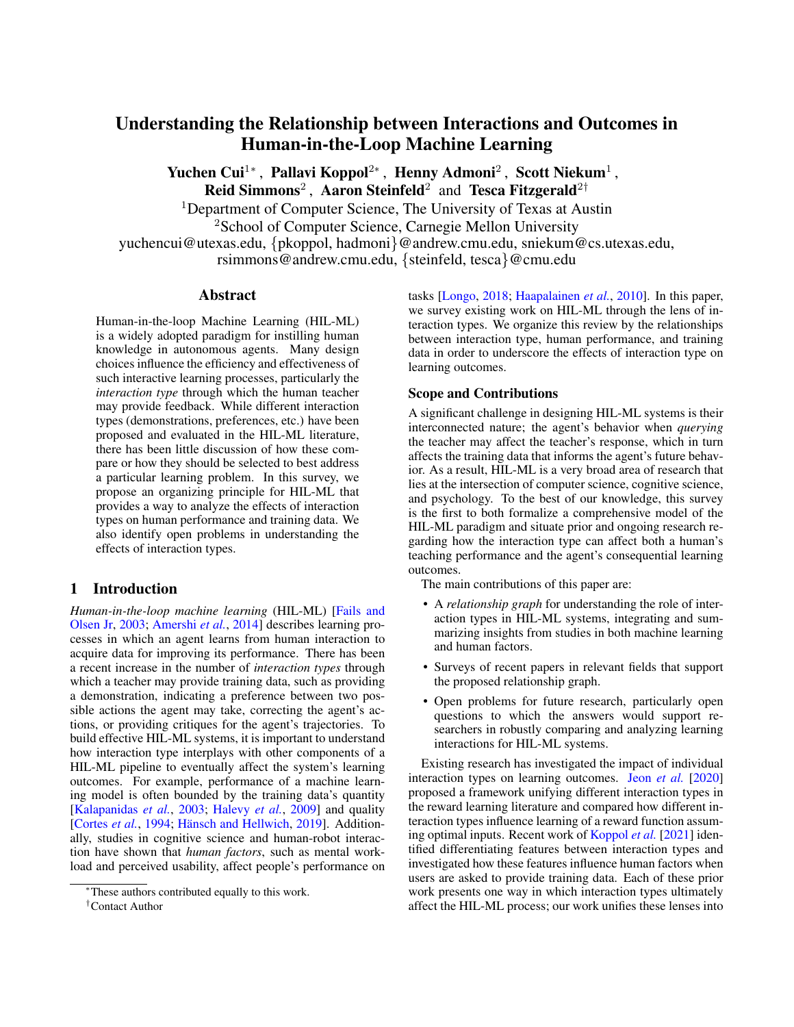# Understanding the Relationship between Interactions and Outcomes in Human-in-the-Loop Machine Learning

Yuchen Cui<sup>1</sup>\*, Pallavi Koppol<sup>2</sup>\*, Henny Admoni<sup>2</sup>, Scott Niekum<sup>1</sup>, Reid Simmons<sup>2</sup>, Aaron Steinfeld<sup>2</sup> and Tesca Fitzgerald<sup>2†</sup>

<sup>1</sup>Department of Computer Science. The University of Texas at Austin <sup>2</sup>School of Computer Science, Carnegie Mellon University yuchencui@utexas.edu, {pkoppol, hadmoni}@andrew.cmu.edu, sniekum@cs.utexas.edu,

rsimmons@andrew.cmu.edu, {steinfeld, tesca}@cmu.edu

# Abstract

Human-in-the-loop Machine Learning (HIL-ML) is a widely adopted paradigm for instilling human knowledge in autonomous agents. Many design choices influence the efficiency and effectiveness of such interactive learning processes, particularly the *interaction type* through which the human teacher may provide feedback. While different interaction types (demonstrations, preferences, etc.) have been proposed and evaluated in the HIL-ML literature, there has been little discussion of how these compare or how they should be selected to best address a particular learning problem. In this survey, we propose an organizing principle for HIL-ML that provides a way to analyze the effects of interaction types on human performance and training data. We also identify open problems in understanding the effects of interaction types.

# 1 Introduction

*Human-in-the-loop machine learning* (HIL-ML) [\[Fails and](#page-7-0) [Olsen Jr,](#page-7-0) [2003;](#page-7-0) [Amershi](#page-6-0) *et al.*, [2014\]](#page-6-0) describes learning processes in which an agent learns from human interaction to acquire data for improving its performance. There has been a recent increase in the number of *interaction types* through which a teacher may provide training data, such as providing a demonstration, indicating a preference between two possible actions the agent may take, correcting the agent's actions, or providing critiques for the agent's trajectories. To build effective HIL-ML systems, it is important to understand how interaction type interplays with other components of a HIL-ML pipeline to eventually affect the system's learning outcomes. For example, performance of a machine learning model is often bounded by the training data's quantity [\[Kalapanidas](#page-8-0) *et al.*, [2003;](#page-8-0) [Halevy](#page-7-1) *et al.*, [2009\]](#page-7-1) and quality [\[Cortes](#page-7-2) *et al.*, [1994;](#page-7-2) Hänsch and Hellwich, [2019\]](#page-7-3). Additionally, studies in cognitive science and human-robot interaction have shown that *human factors*, such as mental workload and perceived usability, affect people's performance on

tasks [\[Longo,](#page-8-1) [2018;](#page-8-1) [Haapalainen](#page-7-4) *et al.*, [2010\]](#page-7-4). In this paper, we survey existing work on HIL-ML through the lens of interaction types. We organize this review by the relationships between interaction type, human performance, and training data in order to underscore the effects of interaction type on learning outcomes.

## Scope and Contributions

A significant challenge in designing HIL-ML systems is their interconnected nature; the agent's behavior when *querying* the teacher may affect the teacher's response, which in turn affects the training data that informs the agent's future behavior. As a result, HIL-ML is a very broad area of research that lies at the intersection of computer science, cognitive science, and psychology. To the best of our knowledge, this survey is the first to both formalize a comprehensive model of the HIL-ML paradigm and situate prior and ongoing research regarding how the interaction type can affect both a human's teaching performance and the agent's consequential learning outcomes.

The main contributions of this paper are:

- A *relationship graph* for understanding the role of interaction types in HIL-ML systems, integrating and summarizing insights from studies in both machine learning and human factors.
- Surveys of recent papers in relevant fields that support the proposed relationship graph.
- Open problems for future research, particularly open questions to which the answers would support researchers in robustly comparing and analyzing learning interactions for HIL-ML systems.

Existing research has investigated the impact of individual interaction types on learning outcomes. Jeon *[et al.](#page-8-2)* [\[2020\]](#page-8-2) proposed a framework unifying different interaction types in the reward learning literature and compared how different interaction types influence learning of a reward function assuming optimal inputs. Recent work of [Koppol](#page-8-3) *et al.* [\[2021\]](#page-8-3) identified differentiating features between interaction types and investigated how these features influence human factors when users are asked to provide training data. Each of these prior work presents one way in which interaction types ultimately affect the HIL-ML process; our work unifies these lenses into

<sup>∗</sup>These authors contributed equally to this work.

<sup>†</sup>Contact Author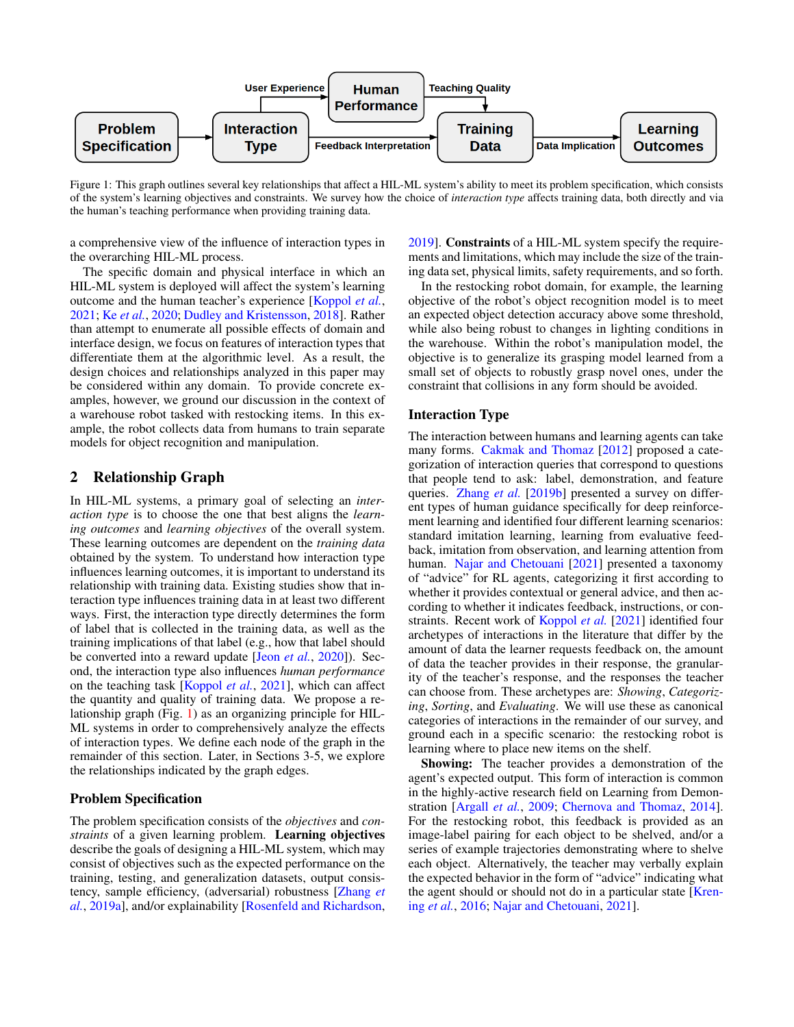<span id="page-1-0"></span>

Figure 1: This graph outlines several key relationships that affect a HIL-ML system's ability to meet its problem specification, which consists of the system's learning objectives and constraints. We survey how the choice of *interaction type* affects training data, both directly and via the human's teaching performance when providing training data.

a comprehensive view of the influence of interaction types in the overarching HIL-ML process.

The specific domain and physical interface in which an HIL-ML system is deployed will affect the system's learning outcome and the human teacher's experience [\[Koppol](#page-8-3) *et al.*, [2021;](#page-8-3) Ke *[et al.](#page-8-4)*, [2020;](#page-8-4) [Dudley and Kristensson,](#page-7-5) [2018\]](#page-7-5). Rather than attempt to enumerate all possible effects of domain and interface design, we focus on features of interaction types that differentiate them at the algorithmic level. As a result, the design choices and relationships analyzed in this paper may be considered within any domain. To provide concrete examples, however, we ground our discussion in the context of a warehouse robot tasked with restocking items. In this example, the robot collects data from humans to train separate models for object recognition and manipulation.

# <span id="page-1-1"></span>2 Relationship Graph

In HIL-ML systems, a primary goal of selecting an *interaction type* is to choose the one that best aligns the *learning outcomes* and *learning objectives* of the overall system. These learning outcomes are dependent on the *training data* obtained by the system. To understand how interaction type influences learning outcomes, it is important to understand its relationship with training data. Existing studies show that interaction type influences training data in at least two different ways. First, the interaction type directly determines the form of label that is collected in the training data, as well as the training implications of that label (e.g., how that label should be converted into a reward update [Jeon *[et al.](#page-8-2)*, [2020\]](#page-8-2)). Second, the interaction type also influences *human performance* on the teaching task [\[Koppol](#page-8-3) *et al.*, [2021\]](#page-8-3), which can affect the quantity and quality of training data. We propose a relationship graph (Fig. [1\)](#page-1-0) as an organizing principle for HIL-ML systems in order to comprehensively analyze the effects of interaction types. We define each node of the graph in the remainder of this section. Later, in Sections 3-5, we explore the relationships indicated by the graph edges.

# Problem Specification

The problem specification consists of the *objectives* and *constraints* of a given learning problem. Learning objectives describe the goals of designing a HIL-ML system, which may consist of objectives such as the expected performance on the training, testing, and generalization datasets, output consistency, sample efficiency, (adversarial) robustness [\[Zhang](#page-9-0) *et [al.](#page-9-0)*, [2019a\]](#page-9-0), and/or explainability [\[Rosenfeld and Richardson,](#page-9-1) [2019\]](#page-9-1). Constraints of a HIL-ML system specify the requirements and limitations, which may include the size of the training data set, physical limits, safety requirements, and so forth.

In the restocking robot domain, for example, the learning objective of the robot's object recognition model is to meet an expected object detection accuracy above some threshold, while also being robust to changes in lighting conditions in the warehouse. Within the robot's manipulation model, the objective is to generalize its grasping model learned from a small set of objects to robustly grasp novel ones, under the constraint that collisions in any form should be avoided.

#### Interaction Type

The interaction between humans and learning agents can take many forms. [Cakmak and Thomaz](#page-7-6) [\[2012\]](#page-7-6) proposed a categorization of interaction queries that correspond to questions that people tend to ask: label, demonstration, and feature queries. [Zhang](#page-9-2) *et al.* [\[2019b\]](#page-9-2) presented a survey on different types of human guidance specifically for deep reinforcement learning and identified four different learning scenarios: standard imitation learning, learning from evaluative feedback, imitation from observation, and learning attention from human. [Najar and Chetouani](#page-8-5) [\[2021\]](#page-8-5) presented a taxonomy of "advice" for RL agents, categorizing it first according to whether it provides contextual or general advice, and then according to whether it indicates feedback, instructions, or constraints. Recent work of [Koppol](#page-8-3) *et al.* [\[2021\]](#page-8-3) identified four archetypes of interactions in the literature that differ by the amount of data the learner requests feedback on, the amount of data the teacher provides in their response, the granularity of the teacher's response, and the responses the teacher can choose from. These archetypes are: *Showing*, *Categorizing*, *Sorting*, and *Evaluating*. We will use these as canonical categories of interactions in the remainder of our survey, and ground each in a specific scenario: the restocking robot is learning where to place new items on the shelf.

Showing: The teacher provides a demonstration of the agent's expected output. This form of interaction is common in the highly-active research field on Learning from Demonstration [\[Argall](#page-6-1) *et al.*, [2009;](#page-6-1) [Chernova and Thomaz,](#page-7-7) [2014\]](#page-7-7). For the restocking robot, this feedback is provided as an image-label pairing for each object to be shelved, and/or a series of example trajectories demonstrating where to shelve each object. Alternatively, the teacher may verbally explain the expected behavior in the form of "advice" indicating what the agent should or should not do in a particular state [\[Kren](#page-8-6)ing *[et al.](#page-8-6)*, [2016;](#page-8-6) [Najar and Chetouani,](#page-8-5) [2021\]](#page-8-5).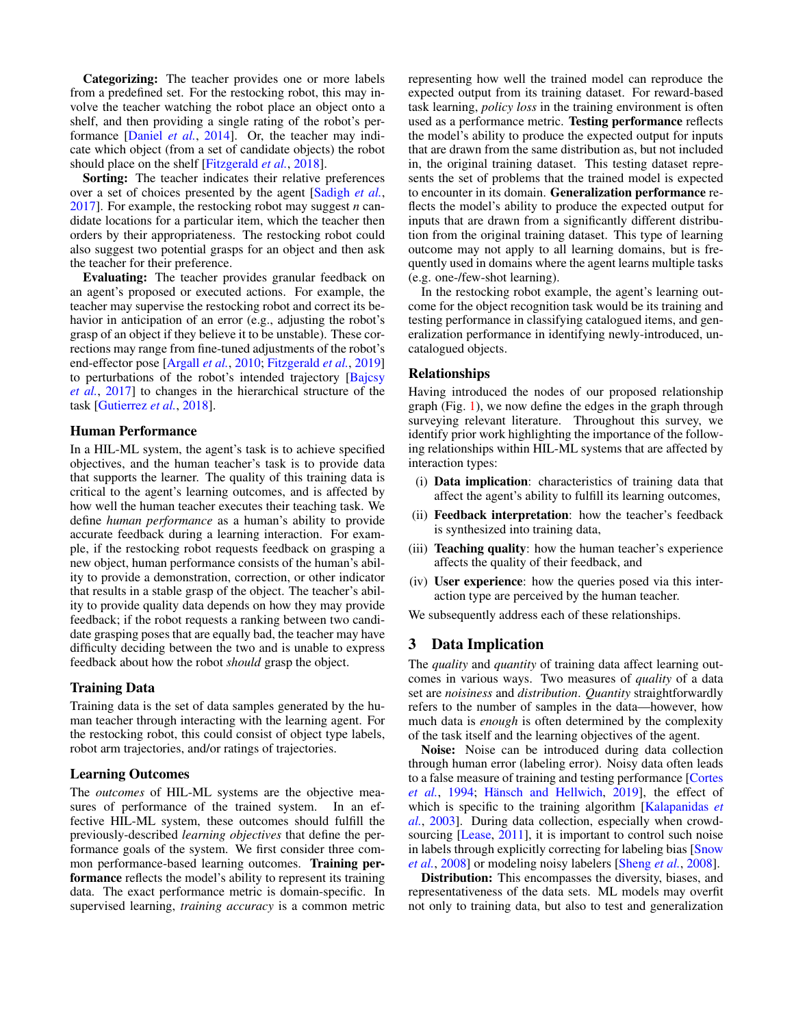Categorizing: The teacher provides one or more labels from a predefined set. For the restocking robot, this may involve the teacher watching the robot place an object onto a shelf, and then providing a single rating of the robot's performance [\[Daniel](#page-7-8) *et al.*, [2014\]](#page-7-8). Or, the teacher may indicate which object (from a set of candidate objects) the robot should place on the shelf [\[Fitzgerald](#page-7-9) *et al.*, [2018\]](#page-7-9).

Sorting: The teacher indicates their relative preferences over a set of choices presented by the agent [\[Sadigh](#page-9-3) *et al.*, [2017\]](#page-9-3). For example, the restocking robot may suggest *n* candidate locations for a particular item, which the teacher then orders by their appropriateness. The restocking robot could also suggest two potential grasps for an object and then ask the teacher for their preference.

Evaluating: The teacher provides granular feedback on an agent's proposed or executed actions. For example, the teacher may supervise the restocking robot and correct its behavior in anticipation of an error (e.g., adjusting the robot's grasp of an object if they believe it to be unstable). These corrections may range from fine-tuned adjustments of the robot's end-effector pose [\[Argall](#page-6-2) *et al.*, [2010;](#page-6-2) [Fitzgerald](#page-7-10) *et al.*, [2019\]](#page-7-10) to perturbations of the robot's intended trajectory [\[Bajcsy](#page-6-3) *[et al.](#page-6-3)*, [2017\]](#page-6-3) to changes in the hierarchical structure of the task [\[Gutierrez](#page-7-11) *et al.*, [2018\]](#page-7-11).

#### Human Performance

In a HIL-ML system, the agent's task is to achieve specified objectives, and the human teacher's task is to provide data that supports the learner. The quality of this training data is critical to the agent's learning outcomes, and is affected by how well the human teacher executes their teaching task. We define *human performance* as a human's ability to provide accurate feedback during a learning interaction. For example, if the restocking robot requests feedback on grasping a new object, human performance consists of the human's ability to provide a demonstration, correction, or other indicator that results in a stable grasp of the object. The teacher's ability to provide quality data depends on how they may provide feedback; if the robot requests a ranking between two candidate grasping poses that are equally bad, the teacher may have difficulty deciding between the two and is unable to express feedback about how the robot *should* grasp the object.

#### Training Data

Training data is the set of data samples generated by the human teacher through interacting with the learning agent. For the restocking robot, this could consist of object type labels, robot arm trajectories, and/or ratings of trajectories.

## Learning Outcomes

The *outcomes* of HIL-ML systems are the objective measures of performance of the trained system. In an effective HIL-ML system, these outcomes should fulfill the previously-described *learning objectives* that define the performance goals of the system. We first consider three common performance-based learning outcomes. Training performance reflects the model's ability to represent its training data. The exact performance metric is domain-specific. In supervised learning, *training accuracy* is a common metric

representing how well the trained model can reproduce the expected output from its training dataset. For reward-based task learning, *policy loss* in the training environment is often used as a performance metric. Testing performance reflects the model's ability to produce the expected output for inputs that are drawn from the same distribution as, but not included in, the original training dataset. This testing dataset represents the set of problems that the trained model is expected to encounter in its domain. Generalization performance reflects the model's ability to produce the expected output for inputs that are drawn from a significantly different distribution from the original training dataset. This type of learning outcome may not apply to all learning domains, but is frequently used in domains where the agent learns multiple tasks (e.g. one-/few-shot learning).

In the restocking robot example, the agent's learning outcome for the object recognition task would be its training and testing performance in classifying catalogued items, and generalization performance in identifying newly-introduced, uncatalogued objects.

#### Relationships

Having introduced the nodes of our proposed relationship graph (Fig. [1\)](#page-1-0), we now define the edges in the graph through surveying relevant literature. Throughout this survey, we identify prior work highlighting the importance of the following relationships within HIL-ML systems that are affected by interaction types:

- (i) Data implication: characteristics of training data that affect the agent's ability to fulfill its learning outcomes,
- (ii) Feedback interpretation: how the teacher's feedback is synthesized into training data,
- (iii) Teaching quality: how the human teacher's experience affects the quality of their feedback, and
- (iv) User experience: how the queries posed via this interaction type are perceived by the human teacher.

We subsequently address each of these relationships.

## <span id="page-2-0"></span>3 Data Implication

The *quality* and *quantity* of training data affect learning outcomes in various ways. Two measures of *quality* of a data set are *noisiness* and *distribution*. *Quantity* straightforwardly refers to the number of samples in the data—however, how much data is *enough* is often determined by the complexity of the task itself and the learning objectives of the agent.

Noise: Noise can be introduced during data collection through human error (labeling error). Noisy data often leads to a false measure of training and testing performance [\[Cortes](#page-7-2) *[et al.](#page-7-2)*, [1994;](#page-7-2) Hänsch and Hellwich, [2019\]](#page-7-3), the effect of which is specific to the training algorithm [\[Kalapanidas](#page-8-0) *et [al.](#page-8-0)*, [2003\]](#page-8-0). During data collection, especially when crowd-sourcing [\[Lease,](#page-8-7) [2011\]](#page-8-7), it is important to control such noise in labels through explicitly correcting for labeling bias [\[Snow](#page-9-4) *[et al.](#page-9-4)*, [2008\]](#page-9-4) or modeling noisy labelers [\[Sheng](#page-9-5) *et al.*, [2008\]](#page-9-5).

Distribution: This encompasses the diversity, biases, and representativeness of the data sets. ML models may overfit not only to training data, but also to test and generalization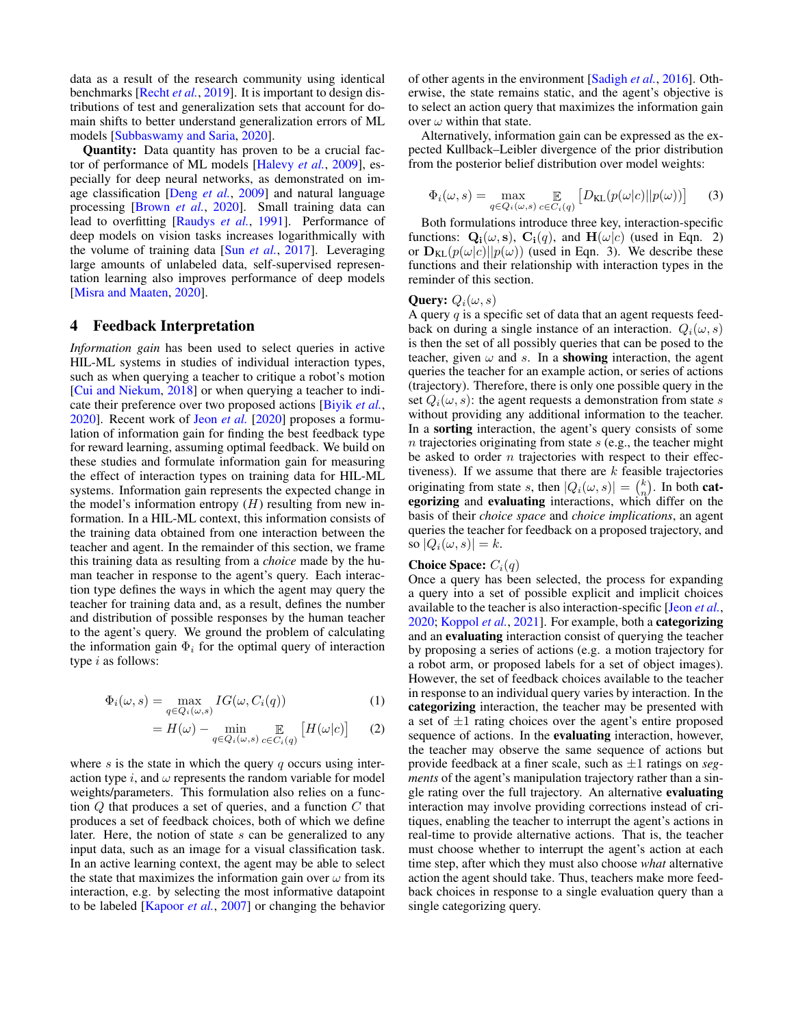data as a result of the research community using identical benchmarks [\[Recht](#page-9-6) *et al.*, [2019\]](#page-9-6). It is important to design distributions of test and generalization sets that account for domain shifts to better understand generalization errors of ML models [\[Subbaswamy and Saria,](#page-9-7) [2020\]](#page-9-7).

Quantity: Data quantity has proven to be a crucial factor of performance of ML models [\[Halevy](#page-7-1) *et al.*, [2009\]](#page-7-1), especially for deep neural networks, as demonstrated on image classification [\[Deng](#page-7-12) *et al.*, [2009\]](#page-7-12) and natural language processing [\[Brown](#page-7-13) *et al.*, [2020\]](#page-7-13). Small training data can lead to overfitting [\[Raudys](#page-9-8) *et al.*, [1991\]](#page-9-8). Performance of deep models on vision tasks increases logarithmically with the volume of training data [Sun *[et al.](#page-9-9)*, [2017\]](#page-9-9). Leveraging large amounts of unlabeled data, self-supervised representation learning also improves performance of deep models [\[Misra and Maaten,](#page-8-8) [2020\]](#page-8-8).

## 4 Feedback Interpretation

*Information gain* has been used to select queries in active HIL-ML systems in studies of individual interaction types, such as when querying a teacher to critique a robot's motion [\[Cui and Niekum,](#page-7-14) [2018\]](#page-7-14) or when querying a teacher to indicate their preference over two proposed actions [\[Biyik](#page-7-15) *et al.*, [2020\]](#page-7-15). Recent work of Jeon *[et al.](#page-8-2)* [\[2020\]](#page-8-2) proposes a formulation of information gain for finding the best feedback type for reward learning, assuming optimal feedback. We build on these studies and formulate information gain for measuring the effect of interaction types on training data for HIL-ML systems. Information gain represents the expected change in the model's information entropy  $(H)$  resulting from new information. In a HIL-ML context, this information consists of the training data obtained from one interaction between the teacher and agent. In the remainder of this section, we frame this training data as resulting from a *choice* made by the human teacher in response to the agent's query. Each interaction type defines the ways in which the agent may query the teacher for training data and, as a result, defines the number and distribution of possible responses by the human teacher to the agent's query. We ground the problem of calculating the information gain  $\Phi_i$  for the optimal query of interaction type  $i$  as follows:

$$
\Phi_i(\omega, s) = \max_{q \in Q_i(\omega, s)} IG(\omega, C_i(q))
$$
\n(1)

$$
=H(\omega)-\min_{q\in Q_i(\omega,s)}\mathop{\mathbb{E}}_{c\in C_i(q)}\left[H(\omega|c)\right]
$$
 (2)

where  $s$  is the state in which the query  $q$  occurs using interaction type i, and  $\omega$  represents the random variable for model weights/parameters. This formulation also relies on a function  $Q$  that produces a set of queries, and a function  $C$  that produces a set of feedback choices, both of which we define later. Here, the notion of state s can be generalized to any input data, such as an image for a visual classification task. In an active learning context, the agent may be able to select the state that maximizes the information gain over  $\omega$  from its interaction, e.g. by selecting the most informative datapoint to be labeled [\[Kapoor](#page-8-9) *et al.*, [2007\]](#page-8-9) or changing the behavior of other agents in the environment [\[Sadigh](#page-9-10) *et al.*, [2016\]](#page-9-10). Otherwise, the state remains static, and the agent's objective is to select an action query that maximizes the information gain over  $\omega$  within that state.

Alternatively, information gain can be expressed as the expected Kullback–Leibler divergence of the prior distribution from the posterior belief distribution over model weights:

$$
\Phi_i(\omega, s) = \max_{q \in Q_i(\omega, s)} \mathop{\mathbb{E}}_{c \in C_i(q)} \left[ D_{\text{KL}}(p(\omega|c) || p(\omega)) \right] \tag{3}
$$

Both formulations introduce three key, interaction-specific functions:  $\mathbf{Q}_i(\omega, \mathbf{s})$ ,  $\mathbf{C}_i(q)$ , and  $\mathbf{H}(\omega|c)$  (used in Eqn. 2) or  $D_{KL}(p(\omega|c)||p(\omega))$  (used in Eqn. 3). We describe these functions and their relationship with interaction types in the reminder of this section.

#### **Query:**  $Q_i(\omega, s)$

A query  $q$  is a specific set of data that an agent requests feedback on during a single instance of an interaction.  $Q_i(\omega, s)$ is then the set of all possibly queries that can be posed to the teacher, given  $\omega$  and s. In a **showing** interaction, the agent queries the teacher for an example action, or series of actions (trajectory). Therefore, there is only one possible query in the set  $Q_i(\omega, s)$ : the agent requests a demonstration from state s without providing any additional information to the teacher. In a sorting interaction, the agent's query consists of some n trajectories originating from state  $s$  (e.g., the teacher might be asked to order  $n$  trajectories with respect to their effectiveness). If we assume that there are  $k$  feasible trajectories originating from state s, then  $|Q_i(\omega, s)| = {k \choose n}$ . In both categorizing and evaluating interactions, which differ on the basis of their *choice space* and *choice implications*, an agent queries the teacher for feedback on a proposed trajectory, and so  $|Q_i(\omega, s)| = k$ .

#### Choice Space:  $C_i(q)$

Once a query has been selected, the process for expanding a query into a set of possible explicit and implicit choices available to the teacher is also interaction-specific [Jeon *[et al.](#page-8-2)*, [2020;](#page-8-2) [Koppol](#page-8-3) *et al.*, [2021\]](#page-8-3). For example, both a categorizing and an evaluating interaction consist of querying the teacher by proposing a series of actions (e.g. a motion trajectory for a robot arm, or proposed labels for a set of object images). However, the set of feedback choices available to the teacher in response to an individual query varies by interaction. In the categorizing interaction, the teacher may be presented with a set of  $\pm 1$  rating choices over the agent's entire proposed sequence of actions. In the evaluating interaction, however, the teacher may observe the same sequence of actions but provide feedback at a finer scale, such as ±1 ratings on *segments* of the agent's manipulation trajectory rather than a single rating over the full trajectory. An alternative evaluating interaction may involve providing corrections instead of critiques, enabling the teacher to interrupt the agent's actions in real-time to provide alternative actions. That is, the teacher must choose whether to interrupt the agent's action at each time step, after which they must also choose *what* alternative action the agent should take. Thus, teachers make more feedback choices in response to a single evaluation query than a single categorizing query.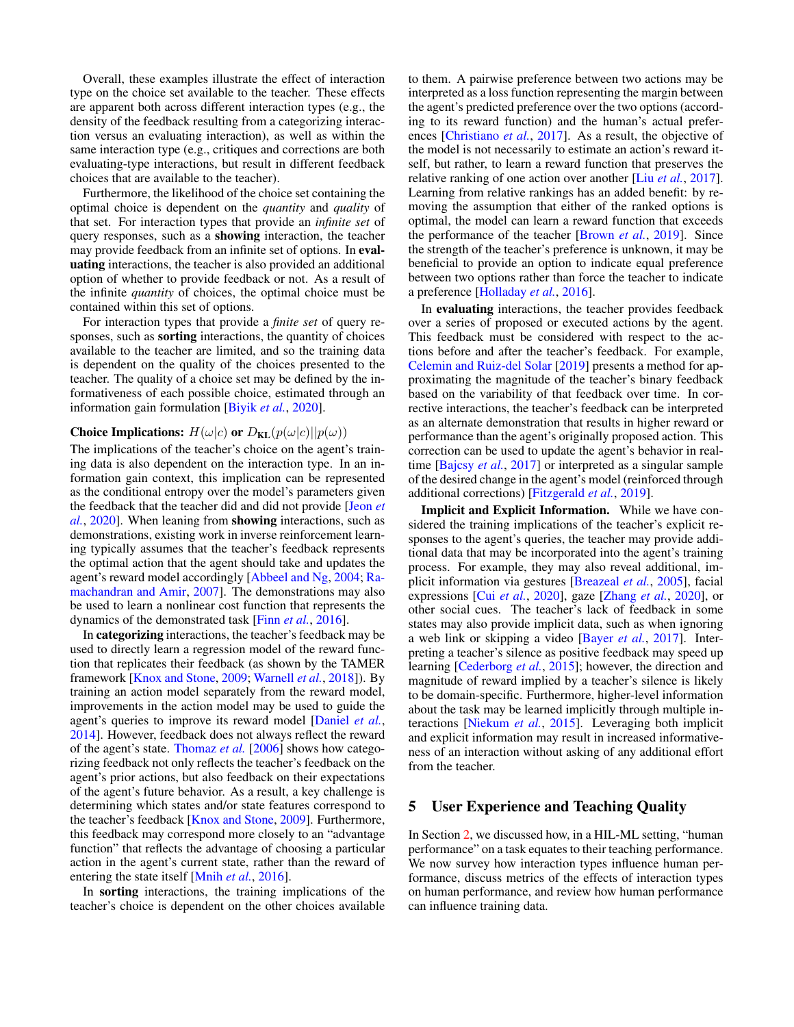Overall, these examples illustrate the effect of interaction type on the choice set available to the teacher. These effects are apparent both across different interaction types (e.g., the density of the feedback resulting from a categorizing interaction versus an evaluating interaction), as well as within the same interaction type (e.g., critiques and corrections are both evaluating-type interactions, but result in different feedback choices that are available to the teacher).

Furthermore, the likelihood of the choice set containing the optimal choice is dependent on the *quantity* and *quality* of that set. For interaction types that provide an *infinite set* of query responses, such as a showing interaction, the teacher may provide feedback from an infinite set of options. In evaluating interactions, the teacher is also provided an additional option of whether to provide feedback or not. As a result of the infinite *quantity* of choices, the optimal choice must be contained within this set of options.

For interaction types that provide a *finite set* of query responses, such as sorting interactions, the quantity of choices available to the teacher are limited, and so the training data is dependent on the quality of the choices presented to the teacher. The quality of a choice set may be defined by the informativeness of each possible choice, estimated through an information gain formulation [\[Biyik](#page-7-15) *et al.*, [2020\]](#page-7-15).

#### Choice Implications:  $H(\omega|c)$  or  $D_{KL}(p(\omega|c)||p(\omega))$

The implications of the teacher's choice on the agent's training data is also dependent on the interaction type. In an information gain context, this implication can be represented as the conditional entropy over the model's parameters given the feedback that the teacher did and did not provide [\[Jeon](#page-8-2) *et [al.](#page-8-2)*, [2020\]](#page-8-2). When leaning from showing interactions, such as demonstrations, existing work in inverse reinforcement learning typically assumes that the teacher's feedback represents the optimal action that the agent should take and updates the agent's reward model accordingly [\[Abbeel and Ng,](#page-6-4) [2004;](#page-6-4) [Ra](#page-9-11)[machandran and Amir,](#page-9-11) [2007\]](#page-9-11). The demonstrations may also be used to learn a nonlinear cost function that represents the dynamics of the demonstrated task [Finn *[et al.](#page-7-16)*, [2016\]](#page-7-16).

In categorizing interactions, the teacher's feedback may be used to directly learn a regression model of the reward function that replicates their feedback (as shown by the TAMER framework [\[Knox and Stone,](#page-8-10) [2009;](#page-8-10) [Warnell](#page-9-12) *et al.*, [2018\]](#page-9-12)). By training an action model separately from the reward model, improvements in the action model may be used to guide the agent's queries to improve its reward model [\[Daniel](#page-7-8) *et al.*, [2014\]](#page-7-8). However, feedback does not always reflect the reward of the agent's state. [Thomaz](#page-9-13) *et al.* [\[2006\]](#page-9-13) shows how categorizing feedback not only reflects the teacher's feedback on the agent's prior actions, but also feedback on their expectations of the agent's future behavior. As a result, a key challenge is determining which states and/or state features correspond to the teacher's feedback [\[Knox and Stone,](#page-8-10) [2009\]](#page-8-10). Furthermore, this feedback may correspond more closely to an "advantage function" that reflects the advantage of choosing a particular action in the agent's current state, rather than the reward of entering the state itself [\[Mnih](#page-8-11) *et al.*, [2016\]](#page-8-11).

In sorting interactions, the training implications of the teacher's choice is dependent on the other choices available to them. A pairwise preference between two actions may be interpreted as a loss function representing the margin between the agent's predicted preference over the two options (according to its reward function) and the human's actual preferences [\[Christiano](#page-7-17) *et al.*, [2017\]](#page-7-17). As a result, the objective of the model is not necessarily to estimate an action's reward itself, but rather, to learn a reward function that preserves the relative ranking of one action over another [Liu *[et al.](#page-8-12)*, [2017\]](#page-8-12). Learning from relative rankings has an added benefit: by removing the assumption that either of the ranked options is optimal, the model can learn a reward function that exceeds the performance of the teacher [\[Brown](#page-7-18) *et al.*, [2019\]](#page-7-18). Since the strength of the teacher's preference is unknown, it may be beneficial to provide an option to indicate equal preference between two options rather than force the teacher to indicate a preference [\[Holladay](#page-8-13) *et al.*, [2016\]](#page-8-13).

In evaluating interactions, the teacher provides feedback over a series of proposed or executed actions by the agent. This feedback must be considered with respect to the actions before and after the teacher's feedback. For example, [Celemin and Ruiz-del Solar](#page-7-19) [\[2019\]](#page-7-19) presents a method for approximating the magnitude of the teacher's binary feedback based on the variability of that feedback over time. In corrective interactions, the teacher's feedback can be interpreted as an alternate demonstration that results in higher reward or performance than the agent's originally proposed action. This correction can be used to update the agent's behavior in realtime [\[Bajcsy](#page-6-3) *et al.*, [2017\]](#page-6-3) or interpreted as a singular sample of the desired change in the agent's model (reinforced through additional corrections) [\[Fitzgerald](#page-7-10) *et al.*, [2019\]](#page-7-10).

Implicit and Explicit Information. While we have considered the training implications of the teacher's explicit responses to the agent's queries, the teacher may provide additional data that may be incorporated into the agent's training process. For example, they may also reveal additional, implicit information via gestures [\[Breazeal](#page-7-20) *et al.*, [2005\]](#page-7-20), facial expressions [Cui *[et al.](#page-7-21)*, [2020\]](#page-7-21), gaze [\[Zhang](#page-9-14) *et al.*, [2020\]](#page-9-14), or other social cues. The teacher's lack of feedback in some states may also provide implicit data, such as when ignoring a web link or skipping a video [\[Bayer](#page-6-5) *et al.*, [2017\]](#page-6-5). Interpreting a teacher's silence as positive feedback may speed up learning [\[Cederborg](#page-7-22) *et al.*, [2015\]](#page-7-22); however, the direction and magnitude of reward implied by a teacher's silence is likely to be domain-specific. Furthermore, higher-level information about the task may be learned implicitly through multiple interactions [\[Niekum](#page-8-14) *et al.*, [2015\]](#page-8-14). Leveraging both implicit and explicit information may result in increased informativeness of an interaction without asking of any additional effort from the teacher.

## 5 User Experience and Teaching Quality

In Section [2,](#page-1-1) we discussed how, in a HIL-ML setting, "human performance" on a task equates to their teaching performance. We now survey how interaction types influence human performance, discuss metrics of the effects of interaction types on human performance, and review how human performance can influence training data.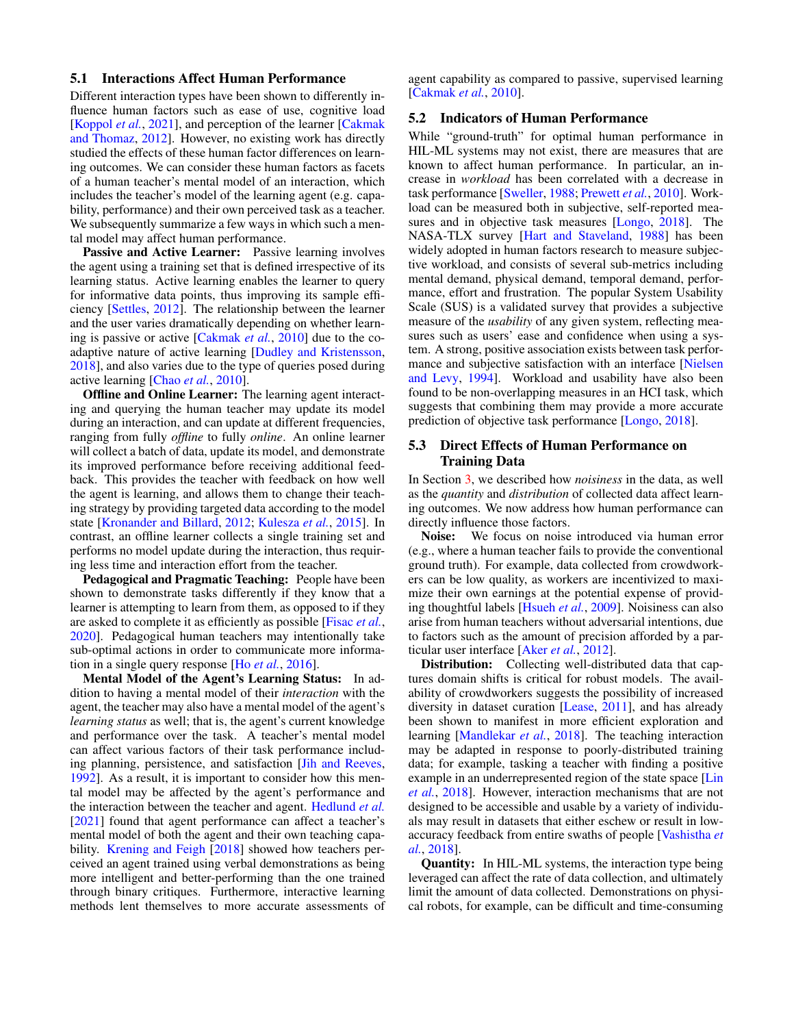#### 5.1 Interactions Affect Human Performance

Different interaction types have been shown to differently influence human factors such as ease of use, cognitive load [\[Koppol](#page-8-3) *et al.*, [2021\]](#page-8-3), and perception of the learner [\[Cakmak](#page-7-6)] [and Thomaz,](#page-7-6) [2012\]](#page-7-6). However, no existing work has directly studied the effects of these human factor differences on learning outcomes. We can consider these human factors as facets of a human teacher's mental model of an interaction, which includes the teacher's model of the learning agent (e.g. capability, performance) and their own perceived task as a teacher. We subsequently summarize a few ways in which such a mental model may affect human performance.

Passive and Active Learner: Passive learning involves the agent using a training set that is defined irrespective of its learning status. Active learning enables the learner to query for informative data points, thus improving its sample efficiency [\[Settles,](#page-9-15) [2012\]](#page-9-15). The relationship between the learner and the user varies dramatically depending on whether learning is passive or active [\[Cakmak](#page-7-23) *et al.*, [2010\]](#page-7-23) due to the coadaptive nature of active learning [\[Dudley and Kristensson,](#page-7-5) [2018\]](#page-7-5), and also varies due to the type of queries posed during active learning [\[Chao](#page-7-24) *et al.*, [2010\]](#page-7-24).

Offline and Online Learner: The learning agent interacting and querying the human teacher may update its model during an interaction, and can update at different frequencies, ranging from fully *offline* to fully *online*. An online learner will collect a batch of data, update its model, and demonstrate its improved performance before receiving additional feedback. This provides the teacher with feedback on how well the agent is learning, and allows them to change their teaching strategy by providing targeted data according to the model state [\[Kronander and Billard,](#page-8-15) [2012;](#page-8-15) [Kulesza](#page-8-16) *et al.*, [2015\]](#page-8-16). In contrast, an offline learner collects a single training set and performs no model update during the interaction, thus requiring less time and interaction effort from the teacher.

Pedagogical and Pragmatic Teaching: People have been shown to demonstrate tasks differently if they know that a learner is attempting to learn from them, as opposed to if they are asked to complete it as efficiently as possible [\[Fisac](#page-7-25) *et al.*, [2020\]](#page-7-25). Pedagogical human teachers may intentionally take sub-optimal actions in order to communicate more information in a single query response [Ho *[et al.](#page-8-17)*, [2016\]](#page-8-17).

Mental Model of the Agent's Learning Status: In addition to having a mental model of their *interaction* with the agent, the teacher may also have a mental model of the agent's *learning status* as well; that is, the agent's current knowledge and performance over the task. A teacher's mental model can affect various factors of their task performance including planning, persistence, and satisfaction [\[Jih and Reeves,](#page-8-18) [1992\]](#page-8-18). As a result, it is important to consider how this mental model may be affected by the agent's performance and the interaction between the teacher and agent. [Hedlund](#page-7-26) *et al.* [\[2021\]](#page-7-26) found that agent performance can affect a teacher's mental model of both the agent and their own teaching capability. [Krening and Feigh](#page-8-19) [\[2018\]](#page-8-19) showed how teachers perceived an agent trained using verbal demonstrations as being more intelligent and better-performing than the one trained through binary critiques. Furthermore, interactive learning methods lent themselves to more accurate assessments of

agent capability as compared to passive, supervised learning [\[Cakmak](#page-7-23) *et al.*, [2010\]](#page-7-23).

#### 5.2 Indicators of Human Performance

While "ground-truth" for optimal human performance in HIL-ML systems may not exist, there are measures that are known to affect human performance. In particular, an increase in *workload* has been correlated with a decrease in task performance [\[Sweller,](#page-9-16) [1988;](#page-9-16) [Prewett](#page-8-20) *et al.*, [2010\]](#page-8-20). Workload can be measured both in subjective, self-reported measures and in objective task measures [\[Longo,](#page-8-1) [2018\]](#page-8-1). The NASA-TLX survey [\[Hart and Staveland,](#page-7-27) [1988\]](#page-7-27) has been widely adopted in human factors research to measure subjective workload, and consists of several sub-metrics including mental demand, physical demand, temporal demand, performance, effort and frustration. The popular System Usability Scale (SUS) is a validated survey that provides a subjective measure of the *usability* of any given system, reflecting measures such as users' ease and confidence when using a system. A strong, positive association exists between task performance and subjective satisfaction with an interface [\[Nielsen](#page-8-21) [and Levy,](#page-8-21) [1994\]](#page-8-21). Workload and usability have also been found to be non-overlapping measures in an HCI task, which suggests that combining them may provide a more accurate prediction of objective task performance [\[Longo,](#page-8-1) [2018\]](#page-8-1).

## 5.3 Direct Effects of Human Performance on Training Data

In Section [3,](#page-2-0) we described how *noisiness* in the data, as well as the *quantity* and *distribution* of collected data affect learning outcomes. We now address how human performance can directly influence those factors.

Noise: We focus on noise introduced via human error (e.g., where a human teacher fails to provide the conventional ground truth). For example, data collected from crowdworkers can be low quality, as workers are incentivized to maximize their own earnings at the potential expense of providing thoughtful labels [\[Hsueh](#page-8-22) *et al.*, [2009\]](#page-8-22). Noisiness can also arise from human teachers without adversarial intentions, due to factors such as the amount of precision afforded by a particular user interface [\[Aker](#page-6-6) *et al.*, [2012\]](#page-6-6).

Distribution: Collecting well-distributed data that captures domain shifts is critical for robust models. The availability of crowdworkers suggests the possibility of increased diversity in dataset curation [\[Lease,](#page-8-7) [2011\]](#page-8-7), and has already been shown to manifest in more efficient exploration and learning [\[Mandlekar](#page-8-23) *et al.*, [2018\]](#page-8-23). The teaching interaction may be adapted in response to poorly-distributed training data; for example, tasking a teacher with finding a positive example in an underrepresented region of the state space [\[Lin](#page-8-24) *[et al.](#page-8-24)*, [2018\]](#page-8-24). However, interaction mechanisms that are not designed to be accessible and usable by a variety of individuals may result in datasets that either eschew or result in lowaccuracy feedback from entire swaths of people [\[Vashistha](#page-9-17) *et [al.](#page-9-17)*, [2018\]](#page-9-17).

Quantity: In HIL-ML systems, the interaction type being leveraged can affect the rate of data collection, and ultimately limit the amount of data collected. Demonstrations on physical robots, for example, can be difficult and time-consuming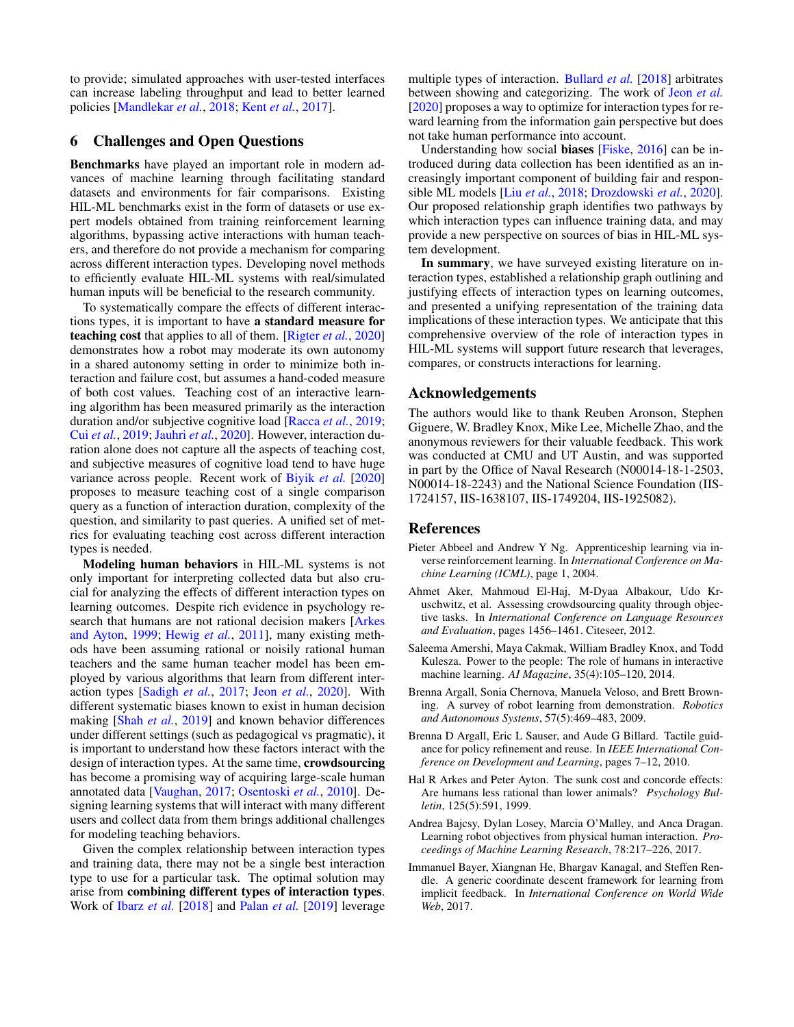to provide; simulated approaches with user-tested interfaces can increase labeling throughput and lead to better learned policies [\[Mandlekar](#page-8-23) *et al.*, [2018;](#page-8-23) Kent *[et al.](#page-8-25)*, [2017\]](#page-8-25).

## 6 Challenges and Open Questions

Benchmarks have played an important role in modern advances of machine learning through facilitating standard datasets and environments for fair comparisons. Existing HIL-ML benchmarks exist in the form of datasets or use expert models obtained from training reinforcement learning algorithms, bypassing active interactions with human teachers, and therefore do not provide a mechanism for comparing across different interaction types. Developing novel methods to efficiently evaluate HIL-ML systems with real/simulated human inputs will be beneficial to the research community.

To systematically compare the effects of different interactions types, it is important to have a standard measure for teaching cost that applies to all of them. [\[Rigter](#page-9-18) *et al.*, [2020\]](#page-9-18) demonstrates how a robot may moderate its own autonomy in a shared autonomy setting in order to minimize both interaction and failure cost, but assumes a hand-coded measure of both cost values. Teaching cost of an interactive learning algorithm has been measured primarily as the interaction duration and/or subjective cognitive load [\[Racca](#page-9-19) *et al.*, [2019;](#page-9-19) Cui *[et al.](#page-7-28)*, [2019;](#page-7-28) [Jauhri](#page-8-26) *et al.*, [2020\]](#page-8-26). However, interaction duration alone does not capture all the aspects of teaching cost, and subjective measures of cognitive load tend to have huge variance across people. Recent work of [Biyik](#page-7-15) *et al.* [\[2020\]](#page-7-15) proposes to measure teaching cost of a single comparison query as a function of interaction duration, complexity of the question, and similarity to past queries. A unified set of metrics for evaluating teaching cost across different interaction types is needed.

Modeling human behaviors in HIL-ML systems is not only important for interpreting collected data but also crucial for analyzing the effects of different interaction types on learning outcomes. Despite rich evidence in psychology research that humans are not rational decision makers [\[Arkes](#page-6-7) [and Ayton,](#page-6-7) [1999;](#page-6-7) [Hewig](#page-8-27) *et al.*, [2011\]](#page-8-27), many existing methods have been assuming rational or noisily rational human teachers and the same human teacher model has been employed by various algorithms that learn from different interaction types [\[Sadigh](#page-9-3) *et al.*, [2017;](#page-9-3) Jeon *[et al.](#page-8-2)*, [2020\]](#page-8-2). With different systematic biases known to exist in human decision making [Shah *[et al.](#page-9-20)*, [2019\]](#page-9-20) and known behavior differences under different settings (such as pedagogical vs pragmatic), it is important to understand how these factors interact with the design of interaction types. At the same time, crowdsourcing has become a promising way of acquiring large-scale human annotated data [\[Vaughan,](#page-9-21) [2017;](#page-9-21) [Osentoski](#page-8-28) *et al.*, [2010\]](#page-8-28). Designing learning systems that will interact with many different users and collect data from them brings additional challenges for modeling teaching behaviors.

Given the complex relationship between interaction types and training data, there may not be a single best interaction type to use for a particular task. The optimal solution may arise from combining different types of interaction types. Work of Ibarz *[et al.](#page-8-29)* [\[2018\]](#page-8-29) and [Palan](#page-8-30) *et al.* [\[2019\]](#page-8-30) leverage multiple types of interaction. [Bullard](#page-7-29) *et al.* [\[2018\]](#page-7-29) arbitrates between showing and categorizing. The work of Jeon *[et al.](#page-8-2)* [\[2020\]](#page-8-2) proposes a way to optimize for interaction types for reward learning from the information gain perspective but does not take human performance into account.

Understanding how social biases [\[Fiske,](#page-7-30) [2016\]](#page-7-30) can be introduced during data collection has been identified as an increasingly important component of building fair and responsible ML models [Liu *[et al.](#page-8-31)*, [2018;](#page-8-31) [Drozdowski](#page-7-31) *et al.*, [2020\]](#page-7-31). Our proposed relationship graph identifies two pathways by which interaction types can influence training data, and may provide a new perspective on sources of bias in HIL-ML system development.

In summary, we have surveyed existing literature on interaction types, established a relationship graph outlining and justifying effects of interaction types on learning outcomes, and presented a unifying representation of the training data implications of these interaction types. We anticipate that this comprehensive overview of the role of interaction types in HIL-ML systems will support future research that leverages, compares, or constructs interactions for learning.

## Acknowledgements

The authors would like to thank Reuben Aronson, Stephen Giguere, W. Bradley Knox, Mike Lee, Michelle Zhao, and the anonymous reviewers for their valuable feedback. This work was conducted at CMU and UT Austin, and was supported in part by the Office of Naval Research (N00014-18-1-2503, N00014-18-2243) and the National Science Foundation (IIS-1724157, IIS-1638107, IIS-1749204, IIS-1925082).

## References

- <span id="page-6-4"></span>Pieter Abbeel and Andrew Y Ng. Apprenticeship learning via inverse reinforcement learning. In *International Conference on Machine Learning (ICML)*, page 1, 2004.
- <span id="page-6-6"></span>Ahmet Aker, Mahmoud El-Haj, M-Dyaa Albakour, Udo Kruschwitz, et al. Assessing crowdsourcing quality through objective tasks. In *International Conference on Language Resources and Evaluation*, pages 1456–1461. Citeseer, 2012.
- <span id="page-6-0"></span>Saleema Amershi, Maya Cakmak, William Bradley Knox, and Todd Kulesza. Power to the people: The role of humans in interactive machine learning. *AI Magazine*, 35(4):105–120, 2014.
- <span id="page-6-1"></span>Brenna Argall, Sonia Chernova, Manuela Veloso, and Brett Browning. A survey of robot learning from demonstration. *Robotics and Autonomous Systems*, 57(5):469–483, 2009.
- <span id="page-6-2"></span>Brenna D Argall, Eric L Sauser, and Aude G Billard. Tactile guidance for policy refinement and reuse. In *IEEE International Conference on Development and Learning*, pages 7–12, 2010.
- <span id="page-6-7"></span>Hal R Arkes and Peter Ayton. The sunk cost and concorde effects: Are humans less rational than lower animals? *Psychology Bulletin*, 125(5):591, 1999.
- <span id="page-6-3"></span>Andrea Bajcsy, Dylan Losey, Marcia O'Malley, and Anca Dragan. Learning robot objectives from physical human interaction. *Proceedings of Machine Learning Research*, 78:217–226, 2017.
- <span id="page-6-5"></span>Immanuel Bayer, Xiangnan He, Bhargav Kanagal, and Steffen Rendle. A generic coordinate descent framework for learning from implicit feedback. In *International Conference on World Wide Web*, 2017.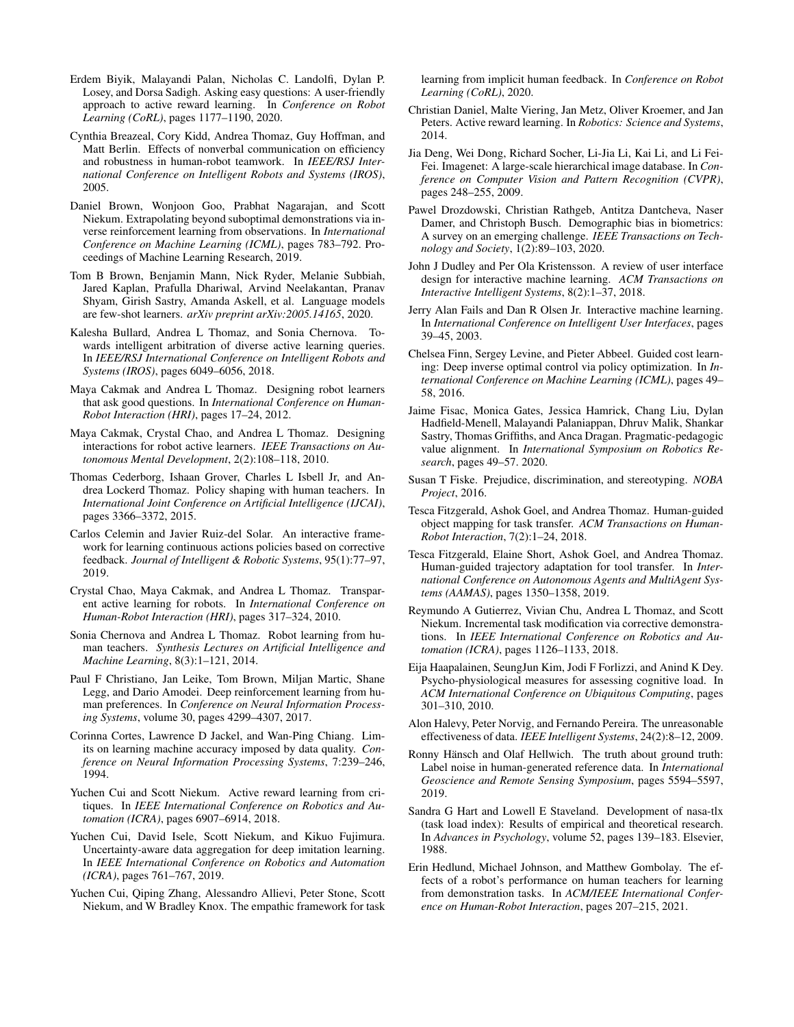- <span id="page-7-15"></span>Erdem Biyik, Malayandi Palan, Nicholas C. Landolfi, Dylan P. Losey, and Dorsa Sadigh. Asking easy questions: A user-friendly approach to active reward learning. In *Conference on Robot Learning (CoRL)*, pages 1177–1190, 2020.
- <span id="page-7-20"></span>Cynthia Breazeal, Cory Kidd, Andrea Thomaz, Guy Hoffman, and Matt Berlin. Effects of nonverbal communication on efficiency and robustness in human-robot teamwork. In *IEEE/RSJ International Conference on Intelligent Robots and Systems (IROS)*, 2005.
- <span id="page-7-18"></span>Daniel Brown, Wonjoon Goo, Prabhat Nagarajan, and Scott Niekum. Extrapolating beyond suboptimal demonstrations via inverse reinforcement learning from observations. In *International Conference on Machine Learning (ICML)*, pages 783–792. Proceedings of Machine Learning Research, 2019.
- <span id="page-7-13"></span>Tom B Brown, Benjamin Mann, Nick Ryder, Melanie Subbiah, Jared Kaplan, Prafulla Dhariwal, Arvind Neelakantan, Pranav Shyam, Girish Sastry, Amanda Askell, et al. Language models are few-shot learners. *arXiv preprint arXiv:2005.14165*, 2020.
- <span id="page-7-29"></span>Kalesha Bullard, Andrea L Thomaz, and Sonia Chernova. Towards intelligent arbitration of diverse active learning queries. In *IEEE/RSJ International Conference on Intelligent Robots and Systems (IROS)*, pages 6049–6056, 2018.
- <span id="page-7-6"></span>Maya Cakmak and Andrea L Thomaz. Designing robot learners that ask good questions. In *International Conference on Human-Robot Interaction (HRI)*, pages 17–24, 2012.
- <span id="page-7-23"></span>Maya Cakmak, Crystal Chao, and Andrea L Thomaz. Designing interactions for robot active learners. *IEEE Transactions on Autonomous Mental Development*, 2(2):108–118, 2010.
- <span id="page-7-22"></span>Thomas Cederborg, Ishaan Grover, Charles L Isbell Jr, and Andrea Lockerd Thomaz. Policy shaping with human teachers. In *International Joint Conference on Artificial Intelligence (IJCAI)*, pages 3366–3372, 2015.
- <span id="page-7-19"></span>Carlos Celemin and Javier Ruiz-del Solar. An interactive framework for learning continuous actions policies based on corrective feedback. *Journal of Intelligent & Robotic Systems*, 95(1):77–97, 2019.
- <span id="page-7-24"></span>Crystal Chao, Maya Cakmak, and Andrea L Thomaz. Transparent active learning for robots. In *International Conference on Human-Robot Interaction (HRI)*, pages 317–324, 2010.
- <span id="page-7-7"></span>Sonia Chernova and Andrea L Thomaz. Robot learning from human teachers. *Synthesis Lectures on Artificial Intelligence and Machine Learning*, 8(3):1–121, 2014.
- <span id="page-7-17"></span>Paul F Christiano, Jan Leike, Tom Brown, Miljan Martic, Shane Legg, and Dario Amodei. Deep reinforcement learning from human preferences. In *Conference on Neural Information Processing Systems*, volume 30, pages 4299–4307, 2017.
- <span id="page-7-2"></span>Corinna Cortes, Lawrence D Jackel, and Wan-Ping Chiang. Limits on learning machine accuracy imposed by data quality. *Conference on Neural Information Processing Systems*, 7:239–246, 1994.
- <span id="page-7-14"></span>Yuchen Cui and Scott Niekum. Active reward learning from critiques. In *IEEE International Conference on Robotics and Automation (ICRA)*, pages 6907–6914, 2018.
- <span id="page-7-28"></span>Yuchen Cui, David Isele, Scott Niekum, and Kikuo Fujimura. Uncertainty-aware data aggregation for deep imitation learning. In *IEEE International Conference on Robotics and Automation (ICRA)*, pages 761–767, 2019.
- <span id="page-7-21"></span>Yuchen Cui, Qiping Zhang, Alessandro Allievi, Peter Stone, Scott Niekum, and W Bradley Knox. The empathic framework for task

learning from implicit human feedback. In *Conference on Robot Learning (CoRL)*, 2020.

- <span id="page-7-8"></span>Christian Daniel, Malte Viering, Jan Metz, Oliver Kroemer, and Jan Peters. Active reward learning. In *Robotics: Science and Systems*, 2014.
- <span id="page-7-12"></span>Jia Deng, Wei Dong, Richard Socher, Li-Jia Li, Kai Li, and Li Fei-Fei. Imagenet: A large-scale hierarchical image database. In *Conference on Computer Vision and Pattern Recognition (CVPR)*, pages 248–255, 2009.
- <span id="page-7-31"></span>Pawel Drozdowski, Christian Rathgeb, Antitza Dantcheva, Naser Damer, and Christoph Busch. Demographic bias in biometrics: A survey on an emerging challenge. *IEEE Transactions on Technology and Society*, 1(2):89–103, 2020.
- <span id="page-7-5"></span>John J Dudley and Per Ola Kristensson. A review of user interface design for interactive machine learning. *ACM Transactions on Interactive Intelligent Systems*, 8(2):1–37, 2018.
- <span id="page-7-0"></span>Jerry Alan Fails and Dan R Olsen Jr. Interactive machine learning. In *International Conference on Intelligent User Interfaces*, pages 39–45, 2003.
- <span id="page-7-16"></span>Chelsea Finn, Sergey Levine, and Pieter Abbeel. Guided cost learning: Deep inverse optimal control via policy optimization. In *International Conference on Machine Learning (ICML)*, pages 49– 58, 2016.
- <span id="page-7-25"></span>Jaime Fisac, Monica Gates, Jessica Hamrick, Chang Liu, Dylan Hadfield-Menell, Malayandi Palaniappan, Dhruv Malik, Shankar Sastry, Thomas Griffiths, and Anca Dragan. Pragmatic-pedagogic value alignment. In *International Symposium on Robotics Research*, pages 49–57. 2020.
- <span id="page-7-30"></span>Susan T Fiske. Prejudice, discrimination, and stereotyping. *NOBA Project*, 2016.
- <span id="page-7-9"></span>Tesca Fitzgerald, Ashok Goel, and Andrea Thomaz. Human-guided object mapping for task transfer. *ACM Transactions on Human-Robot Interaction*, 7(2):1–24, 2018.
- <span id="page-7-10"></span>Tesca Fitzgerald, Elaine Short, Ashok Goel, and Andrea Thomaz. Human-guided trajectory adaptation for tool transfer. In *International Conference on Autonomous Agents and MultiAgent Systems (AAMAS)*, pages 1350–1358, 2019.
- <span id="page-7-11"></span>Reymundo A Gutierrez, Vivian Chu, Andrea L Thomaz, and Scott Niekum. Incremental task modification via corrective demonstrations. In *IEEE International Conference on Robotics and Automation (ICRA)*, pages 1126–1133, 2018.
- <span id="page-7-4"></span>Eija Haapalainen, SeungJun Kim, Jodi F Forlizzi, and Anind K Dey. Psycho-physiological measures for assessing cognitive load. In *ACM International Conference on Ubiquitous Computing*, pages 301–310, 2010.
- <span id="page-7-1"></span>Alon Halevy, Peter Norvig, and Fernando Pereira. The unreasonable effectiveness of data. *IEEE Intelligent Systems*, 24(2):8–12, 2009.
- <span id="page-7-3"></span>Ronny Hänsch and Olaf Hellwich. The truth about ground truth: Label noise in human-generated reference data. In *International Geoscience and Remote Sensing Symposium*, pages 5594–5597, 2019.
- <span id="page-7-27"></span>Sandra G Hart and Lowell E Staveland. Development of nasa-tlx (task load index): Results of empirical and theoretical research. In *Advances in Psychology*, volume 52, pages 139–183. Elsevier, 1988.
- <span id="page-7-26"></span>Erin Hedlund, Michael Johnson, and Matthew Gombolay. The effects of a robot's performance on human teachers for learning from demonstration tasks. In *ACM/IEEE International Conference on Human-Robot Interaction*, pages 207–215, 2021.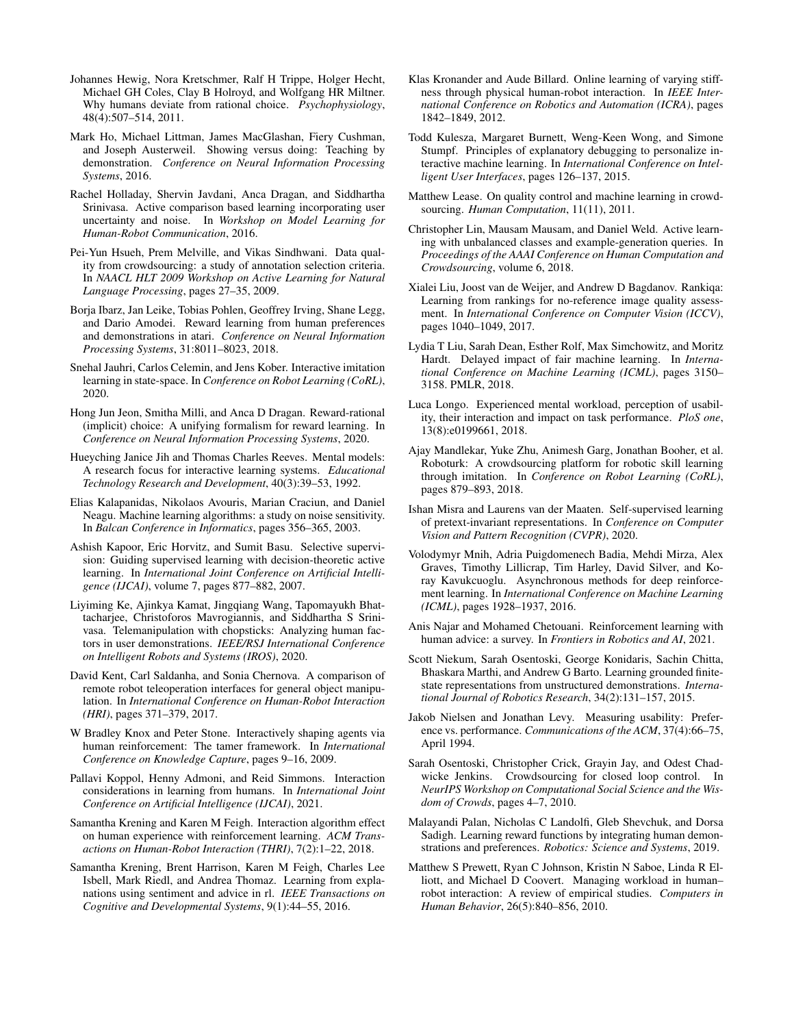- <span id="page-8-27"></span>Johannes Hewig, Nora Kretschmer, Ralf H Trippe, Holger Hecht, Michael GH Coles, Clay B Holroyd, and Wolfgang HR Miltner. Why humans deviate from rational choice. *Psychophysiology*, 48(4):507–514, 2011.
- <span id="page-8-17"></span>Mark Ho, Michael Littman, James MacGlashan, Fiery Cushman, and Joseph Austerweil. Showing versus doing: Teaching by demonstration. *Conference on Neural Information Processing Systems*, 2016.
- <span id="page-8-13"></span>Rachel Holladay, Shervin Javdani, Anca Dragan, and Siddhartha Srinivasa. Active comparison based learning incorporating user uncertainty and noise. In *Workshop on Model Learning for Human-Robot Communication*, 2016.
- <span id="page-8-22"></span>Pei-Yun Hsueh, Prem Melville, and Vikas Sindhwani. Data quality from crowdsourcing: a study of annotation selection criteria. In *NAACL HLT 2009 Workshop on Active Learning for Natural Language Processing*, pages 27–35, 2009.
- <span id="page-8-29"></span>Borja Ibarz, Jan Leike, Tobias Pohlen, Geoffrey Irving, Shane Legg, and Dario Amodei. Reward learning from human preferences and demonstrations in atari. *Conference on Neural Information Processing Systems*, 31:8011–8023, 2018.
- <span id="page-8-26"></span>Snehal Jauhri, Carlos Celemin, and Jens Kober. Interactive imitation learning in state-space. In *Conference on Robot Learning (CoRL)*, 2020.
- <span id="page-8-2"></span>Hong Jun Jeon, Smitha Milli, and Anca D Dragan. Reward-rational (implicit) choice: A unifying formalism for reward learning. In *Conference on Neural Information Processing Systems*, 2020.
- <span id="page-8-18"></span>Hueyching Janice Jih and Thomas Charles Reeves. Mental models: A research focus for interactive learning systems. *Educational Technology Research and Development*, 40(3):39–53, 1992.
- <span id="page-8-0"></span>Elias Kalapanidas, Nikolaos Avouris, Marian Craciun, and Daniel Neagu. Machine learning algorithms: a study on noise sensitivity. In *Balcan Conference in Informatics*, pages 356–365, 2003.
- <span id="page-8-9"></span>Ashish Kapoor, Eric Horvitz, and Sumit Basu. Selective supervision: Guiding supervised learning with decision-theoretic active learning. In *International Joint Conference on Artificial Intelligence (IJCAI)*, volume 7, pages 877–882, 2007.
- <span id="page-8-4"></span>Liyiming Ke, Ajinkya Kamat, Jingqiang Wang, Tapomayukh Bhattacharjee, Christoforos Mavrogiannis, and Siddhartha S Srinivasa. Telemanipulation with chopsticks: Analyzing human factors in user demonstrations. *IEEE/RSJ International Conference on Intelligent Robots and Systems (IROS)*, 2020.
- <span id="page-8-25"></span>David Kent, Carl Saldanha, and Sonia Chernova. A comparison of remote robot teleoperation interfaces for general object manipulation. In *International Conference on Human-Robot Interaction (HRI)*, pages 371–379, 2017.
- <span id="page-8-10"></span>W Bradley Knox and Peter Stone. Interactively shaping agents via human reinforcement: The tamer framework. In *International Conference on Knowledge Capture*, pages 9–16, 2009.
- <span id="page-8-3"></span>Pallavi Koppol, Henny Admoni, and Reid Simmons. Interaction considerations in learning from humans. In *International Joint Conference on Artificial Intelligence (IJCAI)*, 2021.
- <span id="page-8-19"></span>Samantha Krening and Karen M Feigh. Interaction algorithm effect on human experience with reinforcement learning. *ACM Transactions on Human-Robot Interaction (THRI)*, 7(2):1–22, 2018.
- <span id="page-8-6"></span>Samantha Krening, Brent Harrison, Karen M Feigh, Charles Lee Isbell, Mark Riedl, and Andrea Thomaz. Learning from explanations using sentiment and advice in rl. *IEEE Transactions on Cognitive and Developmental Systems*, 9(1):44–55, 2016.
- <span id="page-8-15"></span>Klas Kronander and Aude Billard. Online learning of varying stiffness through physical human-robot interaction. In *IEEE International Conference on Robotics and Automation (ICRA)*, pages 1842–1849, 2012.
- <span id="page-8-16"></span>Todd Kulesza, Margaret Burnett, Weng-Keen Wong, and Simone Stumpf. Principles of explanatory debugging to personalize interactive machine learning. In *International Conference on Intelligent User Interfaces*, pages 126–137, 2015.
- <span id="page-8-7"></span>Matthew Lease. On quality control and machine learning in crowdsourcing. *Human Computation*, 11(11), 2011.
- <span id="page-8-24"></span>Christopher Lin, Mausam Mausam, and Daniel Weld. Active learning with unbalanced classes and example-generation queries. In *Proceedings of the AAAI Conference on Human Computation and Crowdsourcing*, volume 6, 2018.
- <span id="page-8-12"></span>Xialei Liu, Joost van de Weijer, and Andrew D Bagdanov. Rankiqa: Learning from rankings for no-reference image quality assessment. In *International Conference on Computer Vision (ICCV)*, pages 1040–1049, 2017.
- <span id="page-8-31"></span>Lydia T Liu, Sarah Dean, Esther Rolf, Max Simchowitz, and Moritz Hardt. Delayed impact of fair machine learning. In *International Conference on Machine Learning (ICML)*, pages 3150– 3158. PMLR, 2018.
- <span id="page-8-1"></span>Luca Longo. Experienced mental workload, perception of usability, their interaction and impact on task performance. *PloS one*, 13(8):e0199661, 2018.
- <span id="page-8-23"></span>Ajay Mandlekar, Yuke Zhu, Animesh Garg, Jonathan Booher, et al. Roboturk: A crowdsourcing platform for robotic skill learning through imitation. In *Conference on Robot Learning (CoRL)*, pages 879–893, 2018.
- <span id="page-8-8"></span>Ishan Misra and Laurens van der Maaten. Self-supervised learning of pretext-invariant representations. In *Conference on Computer Vision and Pattern Recognition (CVPR)*, 2020.
- <span id="page-8-11"></span>Volodymyr Mnih, Adria Puigdomenech Badia, Mehdi Mirza, Alex Graves, Timothy Lillicrap, Tim Harley, David Silver, and Koray Kavukcuoglu. Asynchronous methods for deep reinforcement learning. In *International Conference on Machine Learning (ICML)*, pages 1928–1937, 2016.
- <span id="page-8-5"></span>Anis Najar and Mohamed Chetouani. Reinforcement learning with human advice: a survey. In *Frontiers in Robotics and AI*, 2021.
- <span id="page-8-14"></span>Scott Niekum, Sarah Osentoski, George Konidaris, Sachin Chitta, Bhaskara Marthi, and Andrew G Barto. Learning grounded finitestate representations from unstructured demonstrations. *International Journal of Robotics Research*, 34(2):131–157, 2015.
- <span id="page-8-21"></span>Jakob Nielsen and Jonathan Levy. Measuring usability: Preference vs. performance. *Communications of the ACM*, 37(4):66–75, April 1994.
- <span id="page-8-28"></span>Sarah Osentoski, Christopher Crick, Grayin Jay, and Odest Chadwicke Jenkins. Crowdsourcing for closed loop control. In *NeurIPS Workshop on Computational Social Science and the Wisdom of Crowds*, pages 4–7, 2010.
- <span id="page-8-30"></span>Malayandi Palan, Nicholas C Landolfi, Gleb Shevchuk, and Dorsa Sadigh. Learning reward functions by integrating human demonstrations and preferences. *Robotics: Science and Systems*, 2019.
- <span id="page-8-20"></span>Matthew S Prewett, Ryan C Johnson, Kristin N Saboe, Linda R Elliott, and Michael D Coovert. Managing workload in human– robot interaction: A review of empirical studies. *Computers in Human Behavior*, 26(5):840–856, 2010.